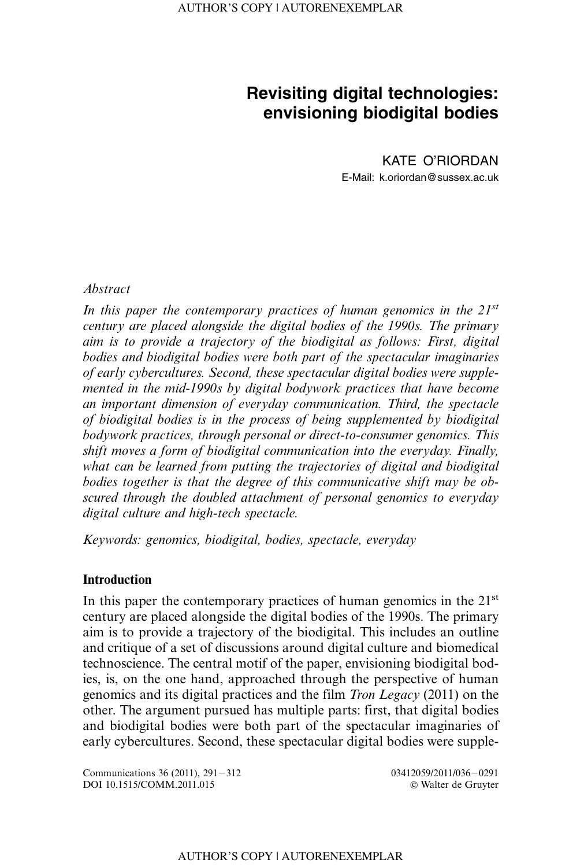# **Revisiting digital technologies: envisioning biodigital bodies**

KATE O'RIORDAN E-Mail: k.oriordan@sussex.ac.uk

### *Abstract*

*In this paper the contemporary practices of human genomics in the 21st century are placed alongside the digital bodies of the 1990s. The primary aim is to provide a trajectory of the biodigital as follows: First, digital bodies and biodigital bodies were both part of the spectacular imaginaries of early cybercultures. Second, these spectacular digital bodies were supplemented in the mid-1990s by digital bodywork practices that have become an important dimension of everyday communication. Third, the spectacle of biodigital bodies is in the process of being supplemented by biodigital bodywork practices, through personal or direct-to-consumer genomics. This shift moves a form of biodigital communication into the everyday. Finally, what can be learned from putting the trajectories of digital and biodigital bodies together is that the degree of this communicative shift may be obscured through the doubled attachment of personal genomics to everyday digital culture and high-tech spectacle.*

*Keywords: genomics, biodigital, bodies, spectacle, everyday*

### **Introduction**

In this paper the contemporary practices of human genomics in the  $21<sup>st</sup>$ century are placed alongside the digital bodies of the 1990s. The primary aim is to provide a trajectory of the biodigital. This includes an outline and critique of a set of discussions around digital culture and biomedical technoscience. The central motif of the paper, envisioning biodigital bodies, is, on the one hand, approached through the perspective of human genomics and its digital practices and the film *Tron Legacy* (2011) on the other. The argument pursued has multiple parts: first, that digital bodies and biodigital bodies were both part of the spectacular imaginaries of early cybercultures. Second, these spectacular digital bodies were supple-

Communications 36 (2011), 291 – 312 03412059/2011/036 – 0291 DOI 10.1515/COMM.2011.015 ! Walter de Gruyter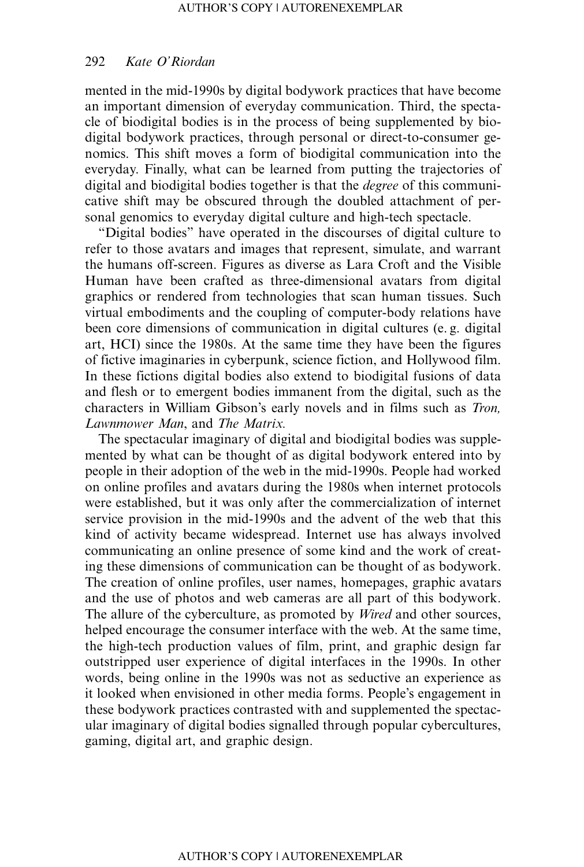mented in the mid-1990s by digital bodywork practices that have become an important dimension of everyday communication. Third, the spectacle of biodigital bodies is in the process of being supplemented by biodigital bodywork practices, through personal or direct-to-consumer genomics. This shift moves a form of biodigital communication into the everyday. Finally, what can be learned from putting the trajectories of digital and biodigital bodies together is that the *degree* of this communicative shift may be obscured through the doubled attachment of personal genomics to everyday digital culture and high-tech spectacle.

"Digital bodies" have operated in the discourses of digital culture to refer to those avatars and images that represent, simulate, and warrant the humans off-screen. Figures as diverse as Lara Croft and the Visible Human have been crafted as three-dimensional avatars from digital graphics or rendered from technologies that scan human tissues. Such virtual embodiments and the coupling of computer-body relations have been core dimensions of communication in digital cultures (e. g. digital art, HCI) since the 1980s. At the same time they have been the figures of fictive imaginaries in cyberpunk, science fiction, and Hollywood film. In these fictions digital bodies also extend to biodigital fusions of data and flesh or to emergent bodies immanent from the digital, such as the characters in William Gibson's early novels and in films such as *Tron, Lawnmower Man*, and *The Matrix.*

The spectacular imaginary of digital and biodigital bodies was supplemented by what can be thought of as digital bodywork entered into by people in their adoption of the web in the mid-1990s. People had worked on online profiles and avatars during the 1980s when internet protocols were established, but it was only after the commercialization of internet service provision in the mid-1990s and the advent of the web that this kind of activity became widespread. Internet use has always involved communicating an online presence of some kind and the work of creating these dimensions of communication can be thought of as bodywork. The creation of online profiles, user names, homepages, graphic avatars and the use of photos and web cameras are all part of this bodywork. The allure of the cyberculture, as promoted by *Wired* and other sources, helped encourage the consumer interface with the web. At the same time, the high-tech production values of film, print, and graphic design far outstripped user experience of digital interfaces in the 1990s. In other words, being online in the 1990s was not as seductive an experience as it looked when envisioned in other media forms. People's engagement in these bodywork practices contrasted with and supplemented the spectacular imaginary of digital bodies signalled through popular cybercultures, gaming, digital art, and graphic design.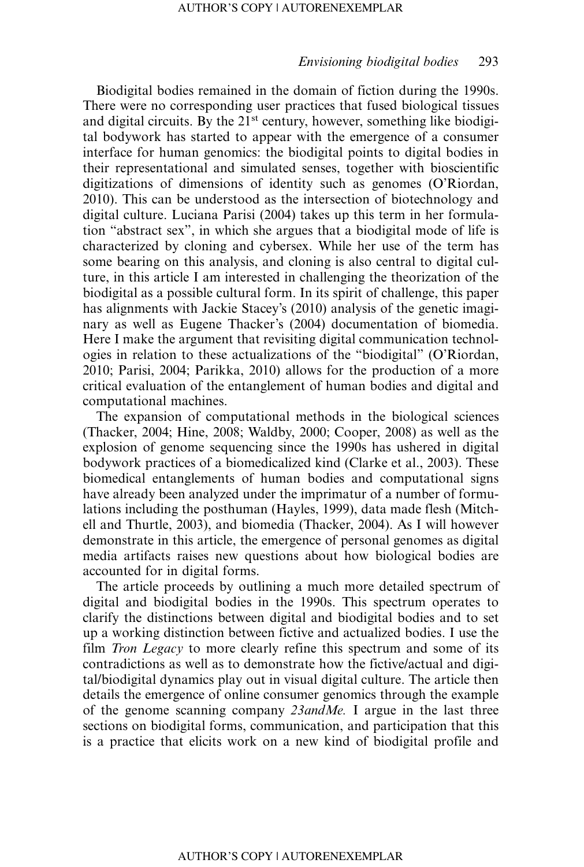#### *Envisioning biodigital bodies* 293

Biodigital bodies remained in the domain of fiction during the 1990s. There were no corresponding user practices that fused biological tissues and digital circuits. By the  $21<sup>st</sup>$  century, however, something like biodigital bodywork has started to appear with the emergence of a consumer interface for human genomics: the biodigital points to digital bodies in their representational and simulated senses, together with bioscientific digitizations of dimensions of identity such as genomes (O'Riordan, 2010). This can be understood as the intersection of biotechnology and digital culture. Luciana Parisi (2004) takes up this term in her formulation "abstract sex", in which she argues that a biodigital mode of life is characterized by cloning and cybersex. While her use of the term has some bearing on this analysis, and cloning is also central to digital culture, in this article I am interested in challenging the theorization of the biodigital as a possible cultural form. In its spirit of challenge, this paper has alignments with Jackie Stacey's (2010) analysis of the genetic imaginary as well as Eugene Thacker's (2004) documentation of biomedia. Here I make the argument that revisiting digital communication technologies in relation to these actualizations of the "biodigital" (O'Riordan, 2010; Parisi, 2004; Parikka, 2010) allows for the production of a more critical evaluation of the entanglement of human bodies and digital and computational machines.

The expansion of computational methods in the biological sciences (Thacker, 2004; Hine, 2008; Waldby, 2000; Cooper, 2008) as well as the explosion of genome sequencing since the 1990s has ushered in digital bodywork practices of a biomedicalized kind (Clarke et al., 2003). These biomedical entanglements of human bodies and computational signs have already been analyzed under the imprimatur of a number of formulations including the posthuman (Hayles, 1999), data made flesh (Mitchell and Thurtle, 2003), and biomedia (Thacker, 2004). As I will however demonstrate in this article, the emergence of personal genomes as digital media artifacts raises new questions about how biological bodies are accounted for in digital forms.

The article proceeds by outlining a much more detailed spectrum of digital and biodigital bodies in the 1990s. This spectrum operates to clarify the distinctions between digital and biodigital bodies and to set up a working distinction between fictive and actualized bodies. I use the film *Tron Legacy* to more clearly refine this spectrum and some of its contradictions as well as to demonstrate how the fictive/actual and digital/biodigital dynamics play out in visual digital culture. The article then details the emergence of online consumer genomics through the example of the genome scanning company *23andMe.* I argue in the last three sections on biodigital forms, communication, and participation that this is a practice that elicits work on a new kind of biodigital profile and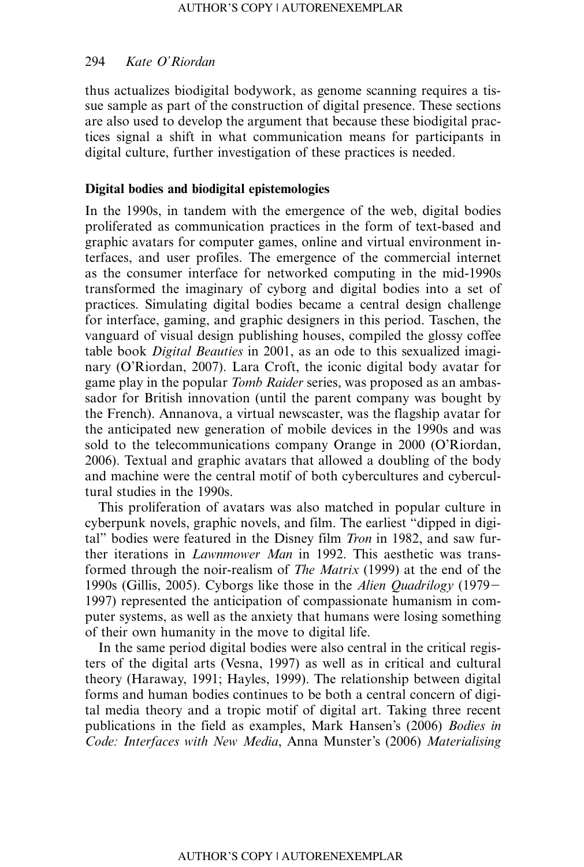thus actualizes biodigital bodywork, as genome scanning requires a tissue sample as part of the construction of digital presence. These sections are also used to develop the argument that because these biodigital practices signal a shift in what communication means for participants in digital culture, further investigation of these practices is needed.

### **Digital bodies and biodigital epistemologies**

In the 1990s, in tandem with the emergence of the web, digital bodies proliferated as communication practices in the form of text-based and graphic avatars for computer games, online and virtual environment interfaces, and user profiles. The emergence of the commercial internet as the consumer interface for networked computing in the mid-1990s transformed the imaginary of cyborg and digital bodies into a set of practices. Simulating digital bodies became a central design challenge for interface, gaming, and graphic designers in this period. Taschen, the vanguard of visual design publishing houses, compiled the glossy coffee table book *Digital Beauties* in 2001, as an ode to this sexualized imaginary (O'Riordan, 2007). Lara Croft, the iconic digital body avatar for game play in the popular *Tomb Raider* series, was proposed as an ambassador for British innovation (until the parent company was bought by the French). Annanova, a virtual newscaster, was the flagship avatar for the anticipated new generation of mobile devices in the 1990s and was sold to the telecommunications company Orange in 2000 (O'Riordan, 2006). Textual and graphic avatars that allowed a doubling of the body and machine were the central motif of both cybercultures and cybercultural studies in the 1990s.

This proliferation of avatars was also matched in popular culture in cyberpunk novels, graphic novels, and film. The earliest "dipped in digital" bodies were featured in the Disney film *Tron* in 1982, and saw further iterations in *Lawnmower Man* in 1992. This aesthetic was transformed through the noir-realism of *The Matrix* (1999) at the end of the 1990s (Gillis, 2005). Cyborgs like those in the *Alien Quadrilogy* (1979– 1997) represented the anticipation of compassionate humanism in computer systems, as well as the anxiety that humans were losing something of their own humanity in the move to digital life.

In the same period digital bodies were also central in the critical registers of the digital arts (Vesna, 1997) as well as in critical and cultural theory (Haraway, 1991; Hayles, 1999). The relationship between digital forms and human bodies continues to be both a central concern of digital media theory and a tropic motif of digital art. Taking three recent publications in the field as examples, Mark Hansen's (2006) *Bodies in Code: Interfaces with New Media*, Anna Munster's (2006) *Materialising*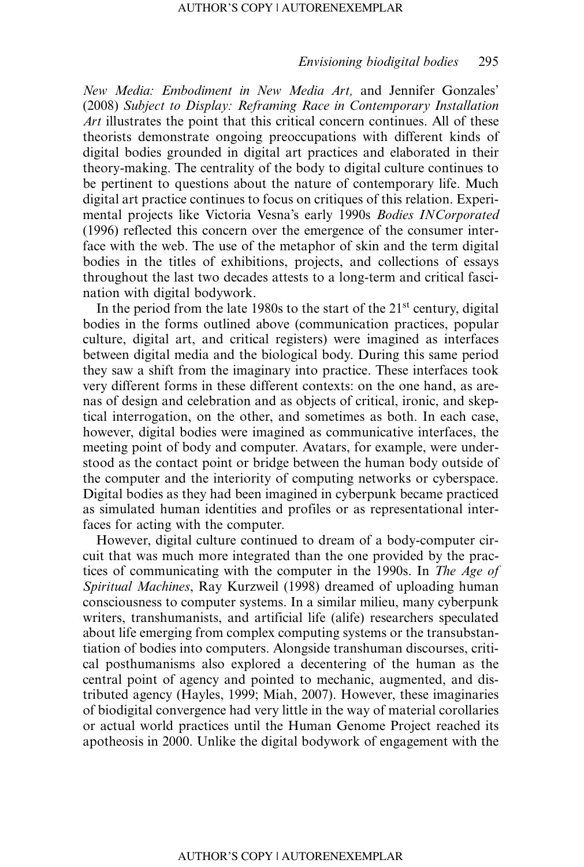#### *Envisioning biodigital bodies* 295

*New Media: Embodiment in New Media Art,* and Jennifer Gonzales' (2008) *Subject to Display: Reframing Race in Contemporary Installation Art* illustrates the point that this critical concern continues. All of these theorists demonstrate ongoing preoccupations with different kinds of digital bodies grounded in digital art practices and elaborated in their theory-making. The centrality of the body to digital culture continues to be pertinent to questions about the nature of contemporary life. Much digital art practice continues to focus on critiques of this relation. Experimental projects like Victoria Vesna's early 1990s *Bodies INCorporated* (1996) reflected this concern over the emergence of the consumer interface with the web. The use of the metaphor of skin and the term digital bodies in the titles of exhibitions, projects, and collections of essays throughout the last two decades attests to a long-term and critical fascination with digital bodywork.

In the period from the late 1980s to the start of the  $21<sup>st</sup>$  century, digital bodies in the forms outlined above (communication practices, popular culture, digital art, and critical registers) were imagined as interfaces between digital media and the biological body. During this same period they saw a shift from the imaginary into practice. These interfaces took very different forms in these different contexts: on the one hand, as arenas of design and celebration and as objects of critical, ironic, and skeptical interrogation, on the other, and sometimes as both. In each case, however, digital bodies were imagined as communicative interfaces, the meeting point of body and computer. Avatars, for example, were understood as the contact point or bridge between the human body outside of the computer and the interiority of computing networks or cyberspace. Digital bodies as they had been imagined in cyberpunk became practiced as simulated human identities and profiles or as representational interfaces for acting with the computer.

However, digital culture continued to dream of a body-computer circuit that was much more integrated than the one provided by the practices of communicating with the computer in the 1990s. In *The Age of Spiritual Machines*, Ray Kurzweil (1998) dreamed of uploading human consciousness to computer systems. In a similar milieu, many cyberpunk writers, transhumanists, and artificial life (alife) researchers speculated about life emerging from complex computing systems or the transubstantiation of bodies into computers. Alongside transhuman discourses, critical posthumanisms also explored a decentering of the human as the central point of agency and pointed to mechanic, augmented, and distributed agency (Hayles, 1999; Miah, 2007). However, these imaginaries of biodigital convergence had very little in the way of material corollaries or actual world practices until the Human Genome Project reached its apotheosis in 2000. Unlike the digital bodywork of engagement with the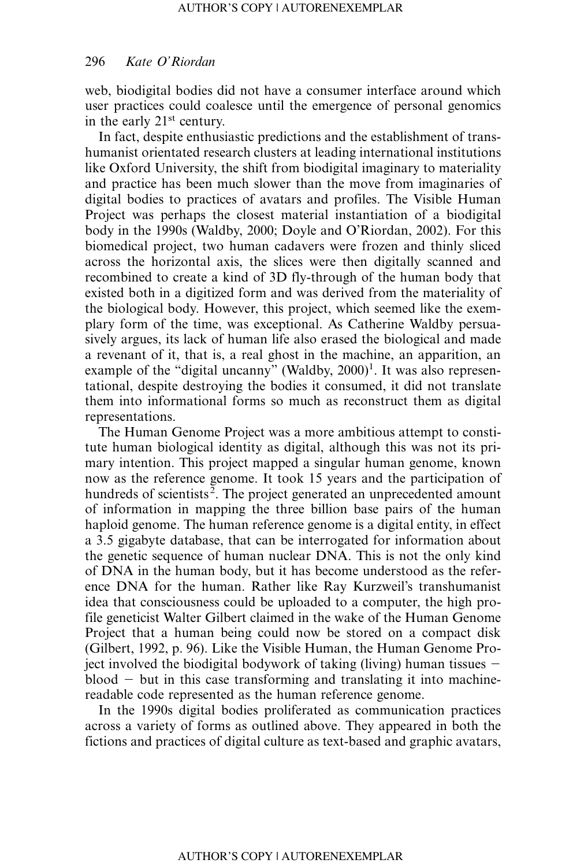web, biodigital bodies did not have a consumer interface around which user practices could coalesce until the emergence of personal genomics in the early 21<sup>st</sup> century.

In fact, despite enthusiastic predictions and the establishment of transhumanist orientated research clusters at leading international institutions like Oxford University, the shift from biodigital imaginary to materiality and practice has been much slower than the move from imaginaries of digital bodies to practices of avatars and profiles. The Visible Human Project was perhaps the closest material instantiation of a biodigital body in the 1990s (Waldby, 2000; Doyle and O'Riordan, 2002). For this biomedical project, two human cadavers were frozen and thinly sliced across the horizontal axis, the slices were then digitally scanned and recombined to create a kind of 3D fly-through of the human body that existed both in a digitized form and was derived from the materiality of the biological body. However, this project, which seemed like the exemplary form of the time, was exceptional. As Catherine Waldby persuasively argues, its lack of human life also erased the biological and made a revenant of it, that is, a real ghost in the machine, an apparition, an example of the "digital uncanny" (Waldby,  $2000$ )<sup>1</sup>. It was also representational, despite destroying the bodies it consumed, it did not translate them into informational forms so much as reconstruct them as digital representations.

The Human Genome Project was a more ambitious attempt to constitute human biological identity as digital, although this was not its primary intention. This project mapped a singular human genome, known now as the reference genome. It took 15 years and the participation of hundreds of scientists<sup>2</sup>. The project generated an unprecedented amount of information in mapping the three billion base pairs of the human haploid genome. The human reference genome is a digital entity, in effect a 3.5 gigabyte database, that can be interrogated for information about the genetic sequence of human nuclear DNA. This is not the only kind of DNA in the human body, but it has become understood as the reference DNA for the human. Rather like Ray Kurzweil's transhumanist idea that consciousness could be uploaded to a computer, the high profile geneticist Walter Gilbert claimed in the wake of the Human Genome Project that a human being could now be stored on a compact disk (Gilbert, 1992, p. 96). Like the Visible Human, the Human Genome Project involved the biodigital bodywork of taking (living) human tissues  $$  $b$ lood  $-$  but in this case transforming and translating it into machinereadable code represented as the human reference genome.

In the 1990s digital bodies proliferated as communication practices across a variety of forms as outlined above. They appeared in both the fictions and practices of digital culture as text-based and graphic avatars,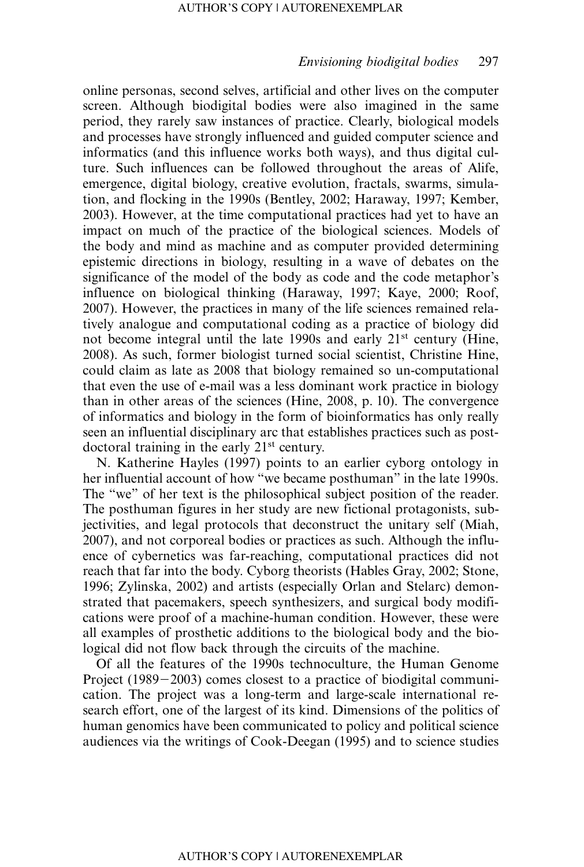# *Envisioning biodigital bodies* 297

online personas, second selves, artificial and other lives on the computer screen. Although biodigital bodies were also imagined in the same period, they rarely saw instances of practice. Clearly, biological models and processes have strongly influenced and guided computer science and informatics (and this influence works both ways), and thus digital culture. Such influences can be followed throughout the areas of Alife, emergence, digital biology, creative evolution, fractals, swarms, simulation, and flocking in the 1990s (Bentley, 2002; Haraway, 1997; Kember, 2003). However, at the time computational practices had yet to have an impact on much of the practice of the biological sciences. Models of the body and mind as machine and as computer provided determining epistemic directions in biology, resulting in a wave of debates on the significance of the model of the body as code and the code metaphor's influence on biological thinking (Haraway, 1997; Kaye, 2000; Roof, 2007). However, the practices in many of the life sciences remained relatively analogue and computational coding as a practice of biology did not become integral until the late 1990s and early 21<sup>st</sup> century (Hine, 2008). As such, former biologist turned social scientist, Christine Hine, could claim as late as 2008 that biology remained so un-computational that even the use of e-mail was a less dominant work practice in biology than in other areas of the sciences (Hine, 2008, p. 10). The convergence of informatics and biology in the form of bioinformatics has only really seen an influential disciplinary arc that establishes practices such as postdoctoral training in the early 21<sup>st</sup> century.

N. Katherine Hayles (1997) points to an earlier cyborg ontology in her influential account of how "we became posthuman" in the late 1990s. The "we" of her text is the philosophical subject position of the reader. The posthuman figures in her study are new fictional protagonists, subjectivities, and legal protocols that deconstruct the unitary self (Miah, 2007), and not corporeal bodies or practices as such. Although the influence of cybernetics was far-reaching, computational practices did not reach that far into the body. Cyborg theorists (Hables Gray, 2002; Stone, 1996; Zylinska, 2002) and artists (especially Orlan and Stelarc) demonstrated that pacemakers, speech synthesizers, and surgical body modifications were proof of a machine-human condition. However, these were all examples of prosthetic additions to the biological body and the biological did not flow back through the circuits of the machine.

Of all the features of the 1990s technoculture, the Human Genome Project (1989–2003) comes closest to a practice of biodigital communication. The project was a long-term and large-scale international research effort, one of the largest of its kind. Dimensions of the politics of human genomics have been communicated to policy and political science audiences via the writings of Cook-Deegan (1995) and to science studies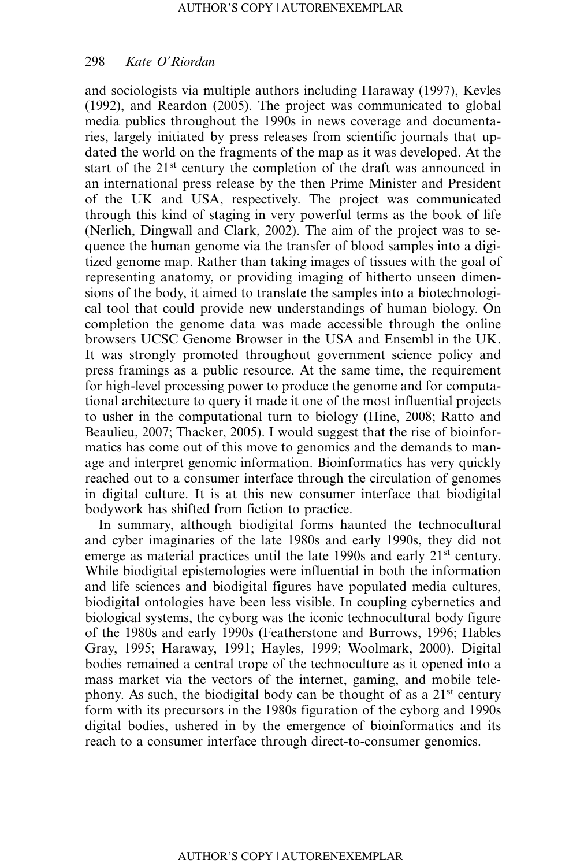and sociologists via multiple authors including Haraway (1997), Kevles (1992), and Reardon (2005). The project was communicated to global media publics throughout the 1990s in news coverage and documentaries, largely initiated by press releases from scientific journals that updated the world on the fragments of the map as it was developed. At the start of the 21st century the completion of the draft was announced in an international press release by the then Prime Minister and President of the UK and USA, respectively. The project was communicated through this kind of staging in very powerful terms as the book of life (Nerlich, Dingwall and Clark, 2002). The aim of the project was to sequence the human genome via the transfer of blood samples into a digitized genome map. Rather than taking images of tissues with the goal of representing anatomy, or providing imaging of hitherto unseen dimensions of the body, it aimed to translate the samples into a biotechnological tool that could provide new understandings of human biology. On completion the genome data was made accessible through the online browsers UCSC Genome Browser in the USA and Ensembl in the UK. It was strongly promoted throughout government science policy and press framings as a public resource. At the same time, the requirement for high-level processing power to produce the genome and for computational architecture to query it made it one of the most influential projects to usher in the computational turn to biology (Hine, 2008; Ratto and Beaulieu, 2007; Thacker, 2005). I would suggest that the rise of bioinformatics has come out of this move to genomics and the demands to manage and interpret genomic information. Bioinformatics has very quickly reached out to a consumer interface through the circulation of genomes in digital culture. It is at this new consumer interface that biodigital bodywork has shifted from fiction to practice.

In summary, although biodigital forms haunted the technocultural and cyber imaginaries of the late 1980s and early 1990s, they did not emerge as material practices until the late 1990s and early 21<sup>st</sup> century. While biodigital epistemologies were influential in both the information and life sciences and biodigital figures have populated media cultures, biodigital ontologies have been less visible. In coupling cybernetics and biological systems, the cyborg was the iconic technocultural body figure of the 1980s and early 1990s (Featherstone and Burrows, 1996; Hables Gray, 1995; Haraway, 1991; Hayles, 1999; Woolmark, 2000). Digital bodies remained a central trope of the technoculture as it opened into a mass market via the vectors of the internet, gaming, and mobile telephony. As such, the biodigital body can be thought of as a  $21<sup>st</sup>$  century form with its precursors in the 1980s figuration of the cyborg and 1990s digital bodies, ushered in by the emergence of bioinformatics and its reach to a consumer interface through direct-to-consumer genomics.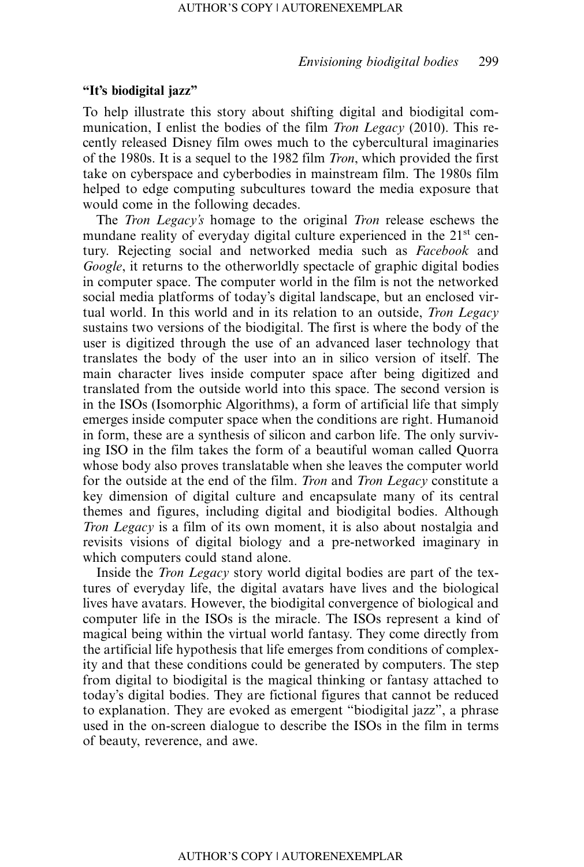#### **"It's biodigital jazz"**

To help illustrate this story about shifting digital and biodigital communication, I enlist the bodies of the film *Tron Legacy* (2010). This recently released Disney film owes much to the cybercultural imaginaries of the 1980s. It is a sequel to the 1982 film *Tron*, which provided the first take on cyberspace and cyberbodies in mainstream film. The 1980s film helped to edge computing subcultures toward the media exposure that would come in the following decades.

The *Tron Legacy's* homage to the original *Tron* release eschews the mundane reality of everyday digital culture experienced in the 21<sup>st</sup> century. Rejecting social and networked media such as *Facebook* and *Google*, it returns to the otherworldly spectacle of graphic digital bodies in computer space. The computer world in the film is not the networked social media platforms of today's digital landscape, but an enclosed virtual world. In this world and in its relation to an outside, *Tron Legacy* sustains two versions of the biodigital. The first is where the body of the user is digitized through the use of an advanced laser technology that translates the body of the user into an in silico version of itself. The main character lives inside computer space after being digitized and translated from the outside world into this space. The second version is in the ISOs (Isomorphic Algorithms), a form of artificial life that simply emerges inside computer space when the conditions are right. Humanoid in form, these are a synthesis of silicon and carbon life. The only surviving ISO in the film takes the form of a beautiful woman called Quorra whose body also proves translatable when she leaves the computer world for the outside at the end of the film. *Tron* and *Tron Legacy* constitute a key dimension of digital culture and encapsulate many of its central themes and figures, including digital and biodigital bodies. Although *Tron Legacy* is a film of its own moment, it is also about nostalgia and revisits visions of digital biology and a pre-networked imaginary in which computers could stand alone.

Inside the *Tron Legacy* story world digital bodies are part of the textures of everyday life, the digital avatars have lives and the biological lives have avatars. However, the biodigital convergence of biological and computer life in the ISOs is the miracle. The ISOs represent a kind of magical being within the virtual world fantasy. They come directly from the artificial life hypothesis that life emerges from conditions of complexity and that these conditions could be generated by computers. The step from digital to biodigital is the magical thinking or fantasy attached to today's digital bodies. They are fictional figures that cannot be reduced to explanation. They are evoked as emergent "biodigital jazz", a phrase used in the on-screen dialogue to describe the ISOs in the film in terms of beauty, reverence, and awe.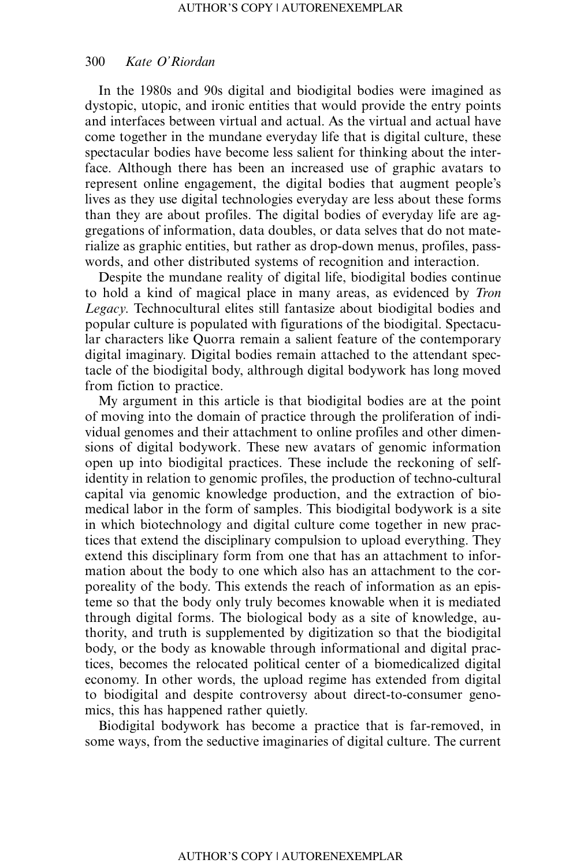In the 1980s and 90s digital and biodigital bodies were imagined as dystopic, utopic, and ironic entities that would provide the entry points and interfaces between virtual and actual. As the virtual and actual have come together in the mundane everyday life that is digital culture, these spectacular bodies have become less salient for thinking about the interface. Although there has been an increased use of graphic avatars to represent online engagement, the digital bodies that augment people's lives as they use digital technologies everyday are less about these forms than they are about profiles. The digital bodies of everyday life are aggregations of information, data doubles, or data selves that do not materialize as graphic entities, but rather as drop-down menus, profiles, passwords, and other distributed systems of recognition and interaction.

Despite the mundane reality of digital life, biodigital bodies continue to hold a kind of magical place in many areas, as evidenced by *Tron Legacy*. Technocultural elites still fantasize about biodigital bodies and popular culture is populated with figurations of the biodigital. Spectacular characters like Quorra remain a salient feature of the contemporary digital imaginary. Digital bodies remain attached to the attendant spectacle of the biodigital body, althrough digital bodywork has long moved from fiction to practice.

My argument in this article is that biodigital bodies are at the point of moving into the domain of practice through the proliferation of individual genomes and their attachment to online profiles and other dimensions of digital bodywork. These new avatars of genomic information open up into biodigital practices. These include the reckoning of selfidentity in relation to genomic profiles, the production of techno-cultural capital via genomic knowledge production, and the extraction of biomedical labor in the form of samples. This biodigital bodywork is a site in which biotechnology and digital culture come together in new practices that extend the disciplinary compulsion to upload everything. They extend this disciplinary form from one that has an attachment to information about the body to one which also has an attachment to the corporeality of the body. This extends the reach of information as an episteme so that the body only truly becomes knowable when it is mediated through digital forms. The biological body as a site of knowledge, authority, and truth is supplemented by digitization so that the biodigital body, or the body as knowable through informational and digital practices, becomes the relocated political center of a biomedicalized digital economy. In other words, the upload regime has extended from digital to biodigital and despite controversy about direct-to-consumer genomics, this has happened rather quietly.

Biodigital bodywork has become a practice that is far-removed, in some ways, from the seductive imaginaries of digital culture. The current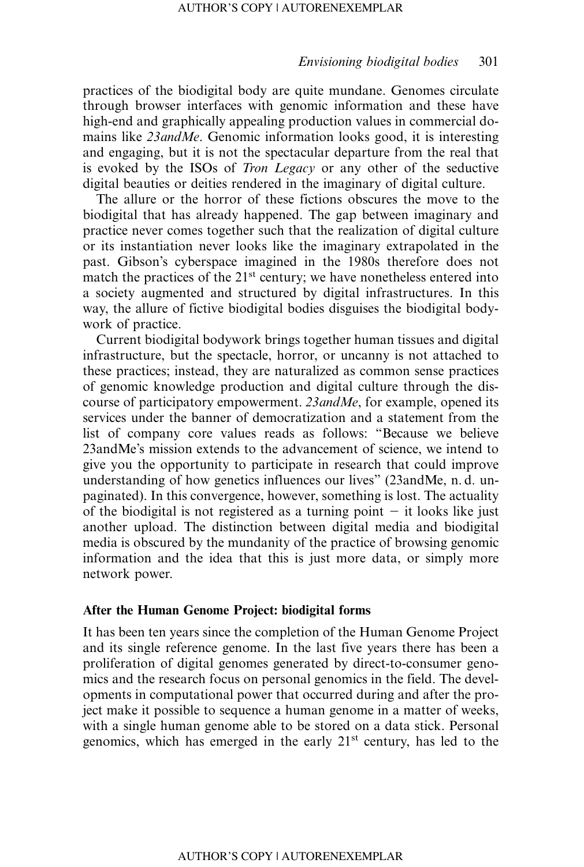practices of the biodigital body are quite mundane. Genomes circulate through browser interfaces with genomic information and these have high-end and graphically appealing production values in commercial domains like *23andMe*. Genomic information looks good, it is interesting and engaging, but it is not the spectacular departure from the real that is evoked by the ISOs of *Tron Legacy* or any other of the seductive digital beauties or deities rendered in the imaginary of digital culture.

The allure or the horror of these fictions obscures the move to the biodigital that has already happened. The gap between imaginary and practice never comes together such that the realization of digital culture or its instantiation never looks like the imaginary extrapolated in the past. Gibson's cyberspace imagined in the 1980s therefore does not match the practices of the  $21<sup>st</sup>$  century; we have nonetheless entered into a society augmented and structured by digital infrastructures. In this way, the allure of fictive biodigital bodies disguises the biodigital bodywork of practice.

Current biodigital bodywork brings together human tissues and digital infrastructure, but the spectacle, horror, or uncanny is not attached to these practices; instead, they are naturalized as common sense practices of genomic knowledge production and digital culture through the discourse of participatory empowerment. *23andMe*, for example, opened its services under the banner of democratization and a statement from the list of company core values reads as follows: "Because we believe 23andMe's mission extends to the advancement of science, we intend to give you the opportunity to participate in research that could improve understanding of how genetics influences our lives" (23andMe, n. d. unpaginated). In this convergence, however, something is lost. The actuality of the biodigital is not registered as a turning point  $-$  it looks like just another upload. The distinction between digital media and biodigital media is obscured by the mundanity of the practice of browsing genomic information and the idea that this is just more data, or simply more network power.

#### **After the Human Genome Project: biodigital forms**

It has been ten years since the completion of the Human Genome Project and its single reference genome. In the last five years there has been a proliferation of digital genomes generated by direct-to-consumer genomics and the research focus on personal genomics in the field. The developments in computational power that occurred during and after the project make it possible to sequence a human genome in a matter of weeks, with a single human genome able to be stored on a data stick. Personal genomics, which has emerged in the early 21st century, has led to the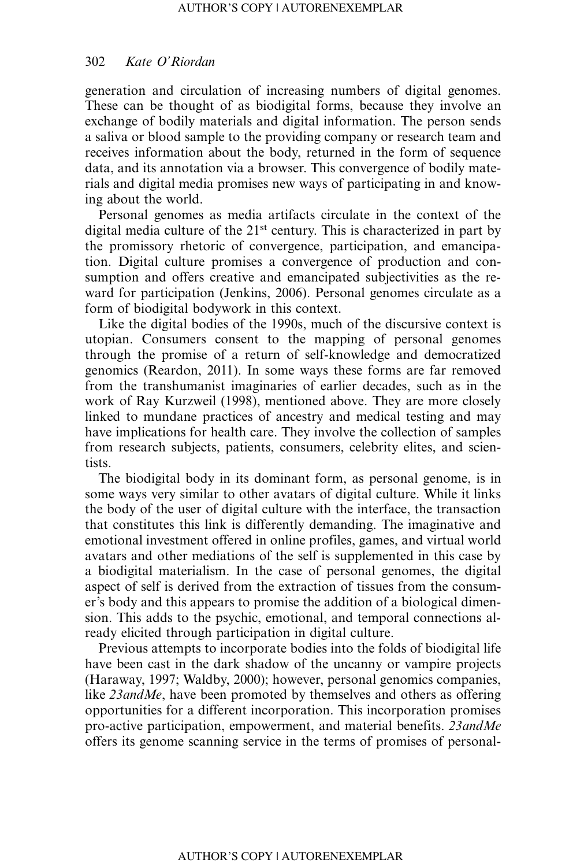generation and circulation of increasing numbers of digital genomes. These can be thought of as biodigital forms, because they involve an exchange of bodily materials and digital information. The person sends a saliva or blood sample to the providing company or research team and receives information about the body, returned in the form of sequence data, and its annotation via a browser. This convergence of bodily materials and digital media promises new ways of participating in and knowing about the world.

Personal genomes as media artifacts circulate in the context of the digital media culture of the 21<sup>st</sup> century. This is characterized in part by the promissory rhetoric of convergence, participation, and emancipation. Digital culture promises a convergence of production and consumption and offers creative and emancipated subjectivities as the reward for participation (Jenkins, 2006). Personal genomes circulate as a form of biodigital bodywork in this context.

Like the digital bodies of the 1990s, much of the discursive context is utopian. Consumers consent to the mapping of personal genomes through the promise of a return of self-knowledge and democratized genomics (Reardon, 2011). In some ways these forms are far removed from the transhumanist imaginaries of earlier decades, such as in the work of Ray Kurzweil (1998), mentioned above. They are more closely linked to mundane practices of ancestry and medical testing and may have implications for health care. They involve the collection of samples from research subjects, patients, consumers, celebrity elites, and scientists.

The biodigital body in its dominant form, as personal genome, is in some ways very similar to other avatars of digital culture. While it links the body of the user of digital culture with the interface, the transaction that constitutes this link is differently demanding. The imaginative and emotional investment offered in online profiles, games, and virtual world avatars and other mediations of the self is supplemented in this case by a biodigital materialism. In the case of personal genomes, the digital aspect of self is derived from the extraction of tissues from the consumer's body and this appears to promise the addition of a biological dimension. This adds to the psychic, emotional, and temporal connections already elicited through participation in digital culture.

Previous attempts to incorporate bodies into the folds of biodigital life have been cast in the dark shadow of the uncanny or vampire projects (Haraway, 1997; Waldby, 2000); however, personal genomics companies, like *23andMe*, have been promoted by themselves and others as offering opportunities for a different incorporation. This incorporation promises pro-active participation, empowerment, and material benefits. *23andMe* offers its genome scanning service in the terms of promises of personal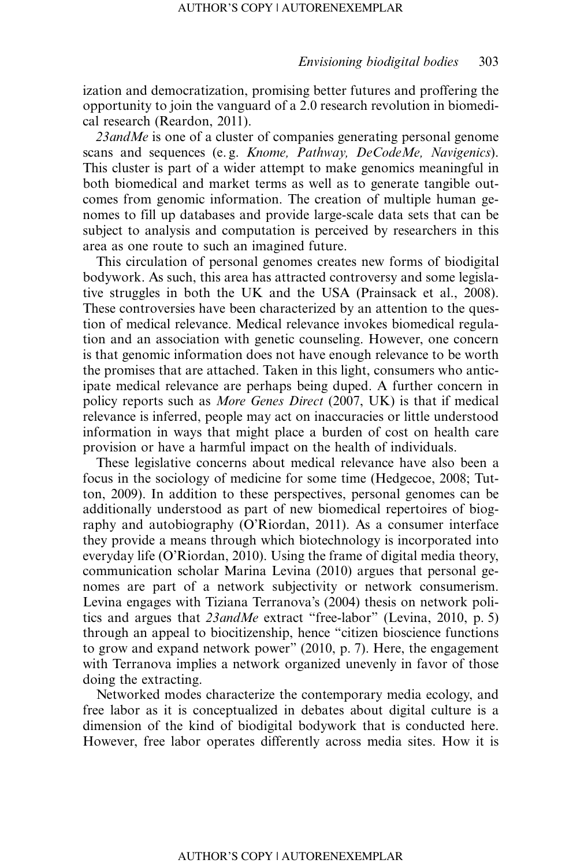ization and democratization, promising better futures and proffering the opportunity to join the vanguard of a 2.0 research revolution in biomedical research (Reardon, 2011).

23*andMe* is one of a cluster of companies generating personal genome scans and sequences (e. g. *Knome, Pathway, DeCodeMe, Navigenics*). This cluster is part of a wider attempt to make genomics meaningful in both biomedical and market terms as well as to generate tangible outcomes from genomic information. The creation of multiple human genomes to fill up databases and provide large-scale data sets that can be subject to analysis and computation is perceived by researchers in this area as one route to such an imagined future.

This circulation of personal genomes creates new forms of biodigital bodywork. As such, this area has attracted controversy and some legislative struggles in both the UK and the USA (Prainsack et al., 2008). These controversies have been characterized by an attention to the question of medical relevance. Medical relevance invokes biomedical regulation and an association with genetic counseling. However, one concern is that genomic information does not have enough relevance to be worth the promises that are attached. Taken in this light, consumers who anticipate medical relevance are perhaps being duped. A further concern in policy reports such as *More Genes Direct* (2007, UK) is that if medical relevance is inferred, people may act on inaccuracies or little understood information in ways that might place a burden of cost on health care provision or have a harmful impact on the health of individuals.

These legislative concerns about medical relevance have also been a focus in the sociology of medicine for some time (Hedgecoe, 2008; Tutton, 2009). In addition to these perspectives, personal genomes can be additionally understood as part of new biomedical repertoires of biography and autobiography (O'Riordan, 2011). As a consumer interface they provide a means through which biotechnology is incorporated into everyday life (O'Riordan, 2010). Using the frame of digital media theory, communication scholar Marina Levina (2010) argues that personal genomes are part of a network subjectivity or network consumerism. Levina engages with Tiziana Terranova's (2004) thesis on network politics and argues that *23andMe* extract "free-labor" (Levina, 2010, p. 5) through an appeal to biocitizenship, hence "citizen bioscience functions to grow and expand network power" (2010, p. 7). Here, the engagement with Terranova implies a network organized unevenly in favor of those doing the extracting.

Networked modes characterize the contemporary media ecology, and free labor as it is conceptualized in debates about digital culture is a dimension of the kind of biodigital bodywork that is conducted here. However, free labor operates differently across media sites. How it is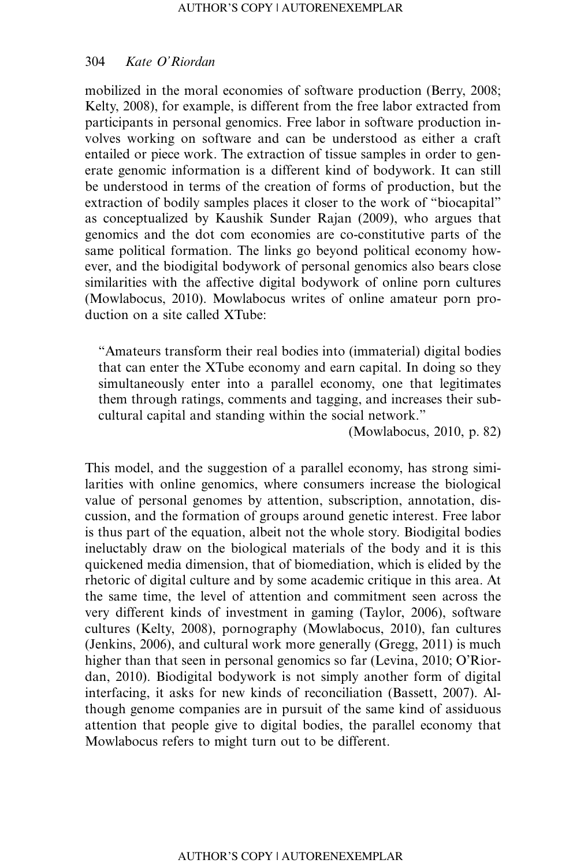mobilized in the moral economies of software production (Berry, 2008; Kelty, 2008), for example, is different from the free labor extracted from participants in personal genomics. Free labor in software production involves working on software and can be understood as either a craft entailed or piece work. The extraction of tissue samples in order to generate genomic information is a different kind of bodywork. It can still be understood in terms of the creation of forms of production, but the extraction of bodily samples places it closer to the work of "biocapital" as conceptualized by Kaushik Sunder Rajan (2009), who argues that genomics and the dot com economies are co-constitutive parts of the same political formation. The links go beyond political economy however, and the biodigital bodywork of personal genomics also bears close similarities with the affective digital bodywork of online porn cultures (Mowlabocus, 2010). Mowlabocus writes of online amateur porn production on a site called XTube:

"Amateurs transform their real bodies into (immaterial) digital bodies that can enter the XTube economy and earn capital. In doing so they simultaneously enter into a parallel economy, one that legitimates them through ratings, comments and tagging, and increases their subcultural capital and standing within the social network."

(Mowlabocus, 2010, p. 82)

This model, and the suggestion of a parallel economy, has strong similarities with online genomics, where consumers increase the biological value of personal genomes by attention, subscription, annotation, discussion, and the formation of groups around genetic interest. Free labor is thus part of the equation, albeit not the whole story. Biodigital bodies ineluctably draw on the biological materials of the body and it is this quickened media dimension, that of biomediation, which is elided by the rhetoric of digital culture and by some academic critique in this area. At the same time, the level of attention and commitment seen across the very different kinds of investment in gaming (Taylor, 2006), software cultures (Kelty, 2008), pornography (Mowlabocus, 2010), fan cultures (Jenkins, 2006), and cultural work more generally (Gregg, 2011) is much higher than that seen in personal genomics so far (Levina, 2010; O'Riordan, 2010). Biodigital bodywork is not simply another form of digital interfacing, it asks for new kinds of reconciliation (Bassett, 2007). Although genome companies are in pursuit of the same kind of assiduous attention that people give to digital bodies, the parallel economy that Mowlabocus refers to might turn out to be different.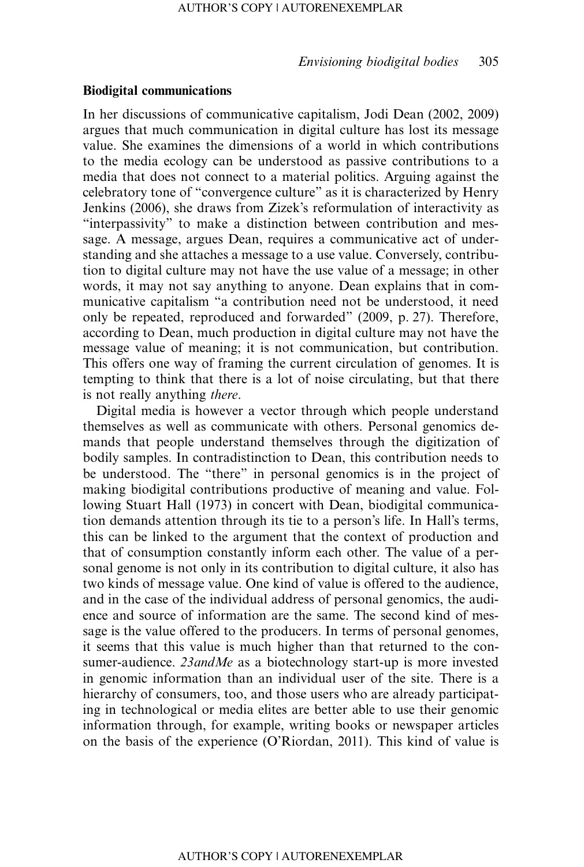#### *Envisioning biodigital bodies* 305

#### **Biodigital communications**

In her discussions of communicative capitalism, Jodi Dean (2002, 2009) argues that much communication in digital culture has lost its message value. She examines the dimensions of a world in which contributions to the media ecology can be understood as passive contributions to a media that does not connect to a material politics. Arguing against the celebratory tone of "convergence culture" as it is characterized by Henry Jenkins (2006), she draws from Zizek's reformulation of interactivity as "interpassivity" to make a distinction between contribution and message. A message, argues Dean, requires a communicative act of understanding and she attaches a message to a use value. Conversely, contribution to digital culture may not have the use value of a message; in other words, it may not say anything to anyone. Dean explains that in communicative capitalism "a contribution need not be understood, it need only be repeated, reproduced and forwarded" (2009, p. 27). Therefore, according to Dean, much production in digital culture may not have the message value of meaning; it is not communication, but contribution. This offers one way of framing the current circulation of genomes. It is tempting to think that there is a lot of noise circulating, but that there is not really anything *there*.

Digital media is however a vector through which people understand themselves as well as communicate with others. Personal genomics demands that people understand themselves through the digitization of bodily samples. In contradistinction to Dean, this contribution needs to be understood. The "there" in personal genomics is in the project of making biodigital contributions productive of meaning and value. Following Stuart Hall (1973) in concert with Dean, biodigital communication demands attention through its tie to a person's life. In Hall's terms, this can be linked to the argument that the context of production and that of consumption constantly inform each other. The value of a personal genome is not only in its contribution to digital culture, it also has two kinds of message value. One kind of value is offered to the audience, and in the case of the individual address of personal genomics, the audience and source of information are the same. The second kind of message is the value offered to the producers. In terms of personal genomes, it seems that this value is much higher than that returned to the consumer-audience. *23andMe* as a biotechnology start-up is more invested in genomic information than an individual user of the site. There is a hierarchy of consumers, too, and those users who are already participating in technological or media elites are better able to use their genomic information through, for example, writing books or newspaper articles on the basis of the experience (O'Riordan, 2011). This kind of value is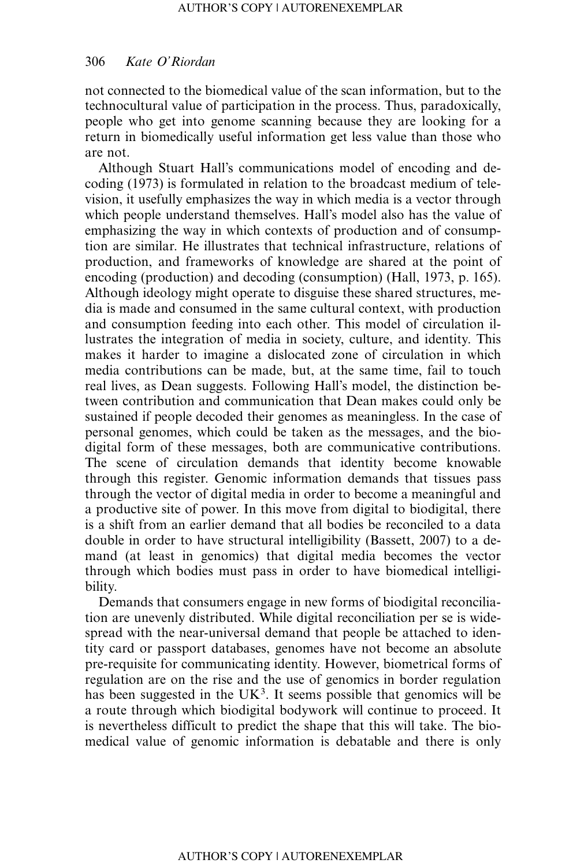not connected to the biomedical value of the scan information, but to the technocultural value of participation in the process. Thus, paradoxically, people who get into genome scanning because they are looking for a return in biomedically useful information get less value than those who are not.

Although Stuart Hall's communications model of encoding and decoding (1973) is formulated in relation to the broadcast medium of television, it usefully emphasizes the way in which media is a vector through which people understand themselves. Hall's model also has the value of emphasizing the way in which contexts of production and of consumption are similar. He illustrates that technical infrastructure, relations of production, and frameworks of knowledge are shared at the point of encoding (production) and decoding (consumption) (Hall, 1973, p. 165). Although ideology might operate to disguise these shared structures, media is made and consumed in the same cultural context, with production and consumption feeding into each other. This model of circulation illustrates the integration of media in society, culture, and identity. This makes it harder to imagine a dislocated zone of circulation in which media contributions can be made, but, at the same time, fail to touch real lives, as Dean suggests. Following Hall's model, the distinction between contribution and communication that Dean makes could only be sustained if people decoded their genomes as meaningless. In the case of personal genomes, which could be taken as the messages, and the biodigital form of these messages, both are communicative contributions. The scene of circulation demands that identity become knowable through this register. Genomic information demands that tissues pass through the vector of digital media in order to become a meaningful and a productive site of power. In this move from digital to biodigital, there is a shift from an earlier demand that all bodies be reconciled to a data double in order to have structural intelligibility (Bassett, 2007) to a demand (at least in genomics) that digital media becomes the vector through which bodies must pass in order to have biomedical intelligibility.

Demands that consumers engage in new forms of biodigital reconciliation are unevenly distributed. While digital reconciliation per se is widespread with the near-universal demand that people be attached to identity card or passport databases, genomes have not become an absolute pre-requisite for communicating identity. However, biometrical forms of regulation are on the rise and the use of genomics in border regulation has been suggested in the  $UK<sup>3</sup>$ . It seems possible that genomics will be a route through which biodigital bodywork will continue to proceed. It is nevertheless difficult to predict the shape that this will take. The biomedical value of genomic information is debatable and there is only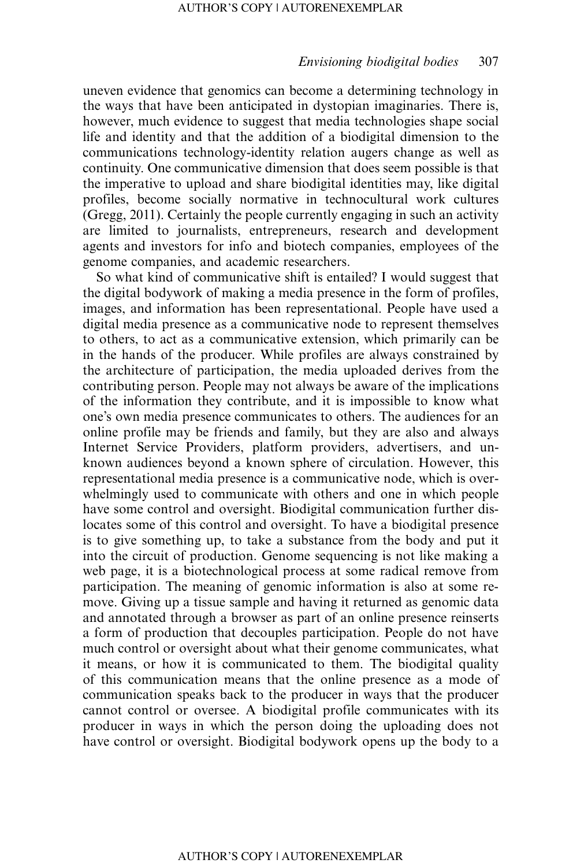#### *Envisioning biodigital bodies* 307

uneven evidence that genomics can become a determining technology in the ways that have been anticipated in dystopian imaginaries. There is, however, much evidence to suggest that media technologies shape social life and identity and that the addition of a biodigital dimension to the communications technology-identity relation augers change as well as continuity. One communicative dimension that does seem possible is that the imperative to upload and share biodigital identities may, like digital profiles, become socially normative in technocultural work cultures (Gregg, 2011). Certainly the people currently engaging in such an activity are limited to journalists, entrepreneurs, research and development agents and investors for info and biotech companies, employees of the genome companies, and academic researchers.

So what kind of communicative shift is entailed? I would suggest that the digital bodywork of making a media presence in the form of profiles, images, and information has been representational. People have used a digital media presence as a communicative node to represent themselves to others, to act as a communicative extension, which primarily can be in the hands of the producer. While profiles are always constrained by the architecture of participation, the media uploaded derives from the contributing person. People may not always be aware of the implications of the information they contribute, and it is impossible to know what one's own media presence communicates to others. The audiences for an online profile may be friends and family, but they are also and always Internet Service Providers, platform providers, advertisers, and unknown audiences beyond a known sphere of circulation. However, this representational media presence is a communicative node, which is overwhelmingly used to communicate with others and one in which people have some control and oversight. Biodigital communication further dislocates some of this control and oversight. To have a biodigital presence is to give something up, to take a substance from the body and put it into the circuit of production. Genome sequencing is not like making a web page, it is a biotechnological process at some radical remove from participation. The meaning of genomic information is also at some remove. Giving up a tissue sample and having it returned as genomic data and annotated through a browser as part of an online presence reinserts a form of production that decouples participation. People do not have much control or oversight about what their genome communicates, what it means, or how it is communicated to them. The biodigital quality of this communication means that the online presence as a mode of communication speaks back to the producer in ways that the producer cannot control or oversee. A biodigital profile communicates with its producer in ways in which the person doing the uploading does not have control or oversight. Biodigital bodywork opens up the body to a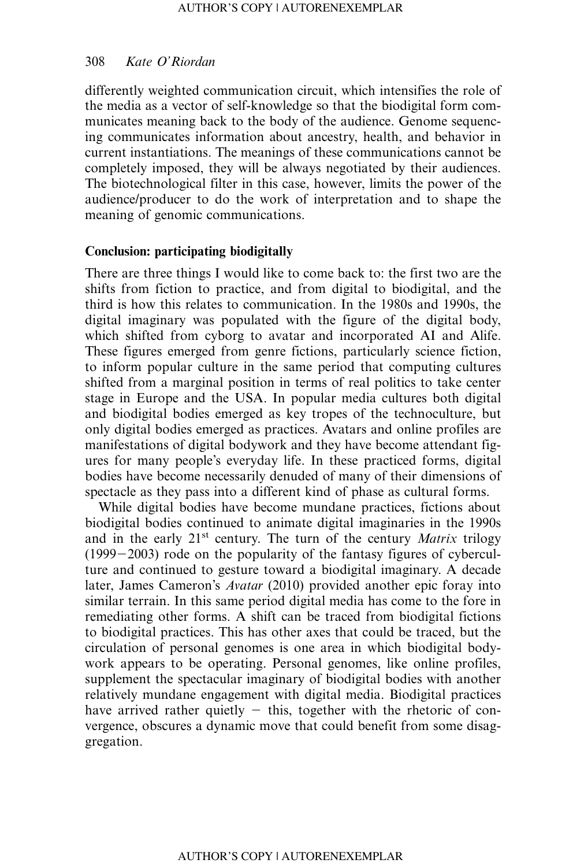differently weighted communication circuit, which intensifies the role of the media as a vector of self-knowledge so that the biodigital form communicates meaning back to the body of the audience. Genome sequencing communicates information about ancestry, health, and behavior in current instantiations. The meanings of these communications cannot be completely imposed, they will be always negotiated by their audiences. The biotechnological filter in this case, however, limits the power of the audience/producer to do the work of interpretation and to shape the meaning of genomic communications.

### **Conclusion: participating biodigitally**

There are three things I would like to come back to: the first two are the shifts from fiction to practice, and from digital to biodigital, and the third is how this relates to communication. In the 1980s and 1990s, the digital imaginary was populated with the figure of the digital body, which shifted from cyborg to avatar and incorporated AI and Alife. These figures emerged from genre fictions, particularly science fiction, to inform popular culture in the same period that computing cultures shifted from a marginal position in terms of real politics to take center stage in Europe and the USA. In popular media cultures both digital and biodigital bodies emerged as key tropes of the technoculture, but only digital bodies emerged as practices. Avatars and online profiles are manifestations of digital bodywork and they have become attendant figures for many people's everyday life. In these practiced forms, digital bodies have become necessarily denuded of many of their dimensions of spectacle as they pass into a different kind of phase as cultural forms.

While digital bodies have become mundane practices, fictions about biodigital bodies continued to animate digital imaginaries in the 1990s and in the early 21<sup>st</sup> century. The turn of the century *Matrix* trilogy  $(1999 - 2003)$  rode on the popularity of the fantasy figures of cyberculture and continued to gesture toward a biodigital imaginary. A decade later, James Cameron's *Avatar* (2010) provided another epic foray into similar terrain. In this same period digital media has come to the fore in remediating other forms. A shift can be traced from biodigital fictions to biodigital practices. This has other axes that could be traced, but the circulation of personal genomes is one area in which biodigital bodywork appears to be operating. Personal genomes, like online profiles, supplement the spectacular imaginary of biodigital bodies with another relatively mundane engagement with digital media. Biodigital practices have arrived rather quietly  $-$  this, together with the rhetoric of convergence, obscures a dynamic move that could benefit from some disaggregation.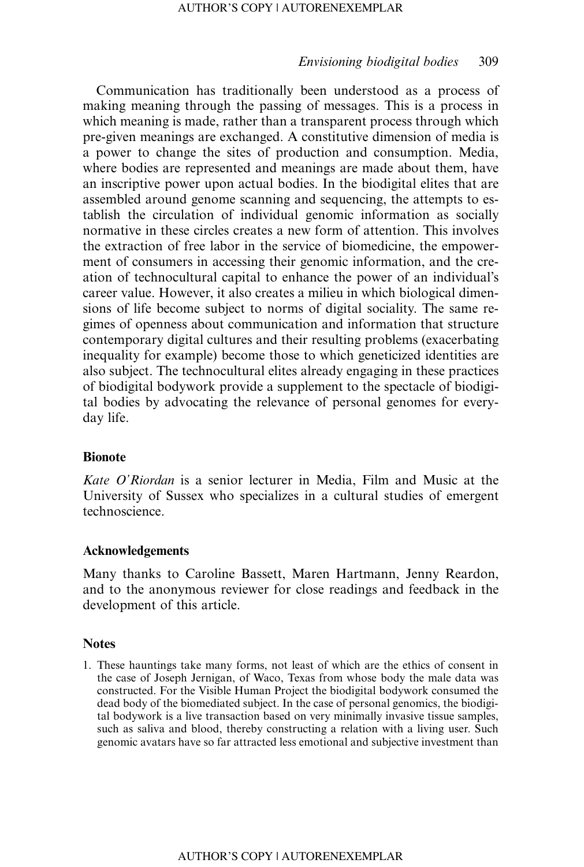#### *Envisioning biodigital bodies* 309

Communication has traditionally been understood as a process of making meaning through the passing of messages. This is a process in which meaning is made, rather than a transparent process through which pre-given meanings are exchanged. A constitutive dimension of media is a power to change the sites of production and consumption. Media, where bodies are represented and meanings are made about them, have an inscriptive power upon actual bodies. In the biodigital elites that are assembled around genome scanning and sequencing, the attempts to establish the circulation of individual genomic information as socially normative in these circles creates a new form of attention. This involves the extraction of free labor in the service of biomedicine, the empowerment of consumers in accessing their genomic information, and the creation of technocultural capital to enhance the power of an individual's career value. However, it also creates a milieu in which biological dimensions of life become subject to norms of digital sociality. The same regimes of openness about communication and information that structure contemporary digital cultures and their resulting problems (exacerbating inequality for example) become those to which geneticized identities are also subject. The technocultural elites already engaging in these practices of biodigital bodywork provide a supplement to the spectacle of biodigital bodies by advocating the relevance of personal genomes for everyday life.

#### **Bionote**

*Kate O'Riordan* is a senior lecturer in Media, Film and Music at the University of Sussex who specializes in a cultural studies of emergent technoscience.

### **Acknowledgements**

Many thanks to Caroline Bassett, Maren Hartmann, Jenny Reardon, and to the anonymous reviewer for close readings and feedback in the development of this article.

#### **Notes**

1. These hauntings take many forms, not least of which are the ethics of consent in the case of Joseph Jernigan, of Waco, Texas from whose body the male data was constructed. For the Visible Human Project the biodigital bodywork consumed the dead body of the biomediated subject. In the case of personal genomics, the biodigital bodywork is a live transaction based on very minimally invasive tissue samples, such as saliva and blood, thereby constructing a relation with a living user. Such genomic avatars have so far attracted less emotional and subjective investment than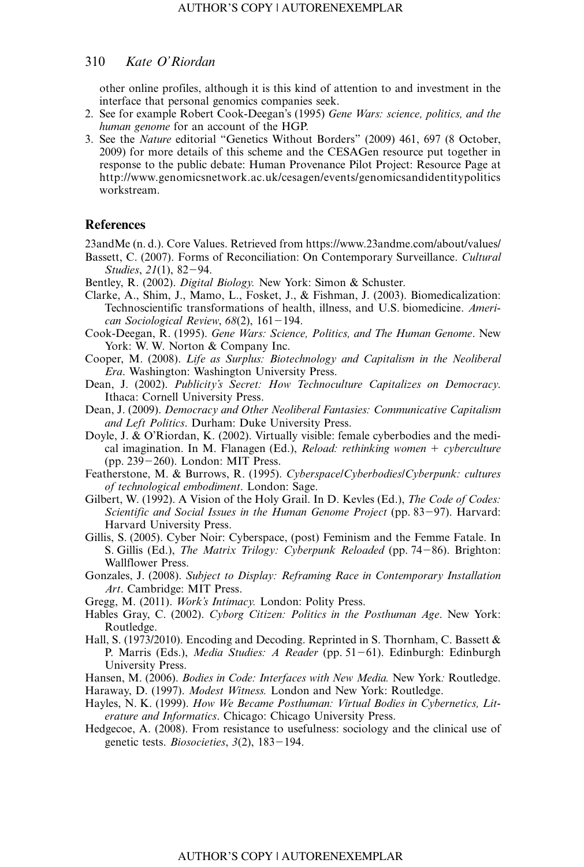other online profiles, although it is this kind of attention to and investment in the interface that personal genomics companies seek.

- 2. See for example Robert Cook-Deegan's (1995) *Gene Wars: science, politics, and the human genome* for an account of the HGP.
- 3. See the *Nature* editorial "Genetics Without Borders" (2009) 461, 697 (8 October, 2009) for more details of this scheme and the CESAGen resource put together in response to the public debate: Human Provenance Pilot Project: Resource Page at http://www.genomicsnetwork.ac.uk/cesagen/events/genomicsandidentitypolitics workstream.

### **References**

23andMe (n. d.). Core Values. Retrieved from https://www.23andme.com/about/values/

- Bassett, C. (2007). Forms of Reconciliation: On Contemporary Surveillance. *Cultural Studies*, 21(1), 82-94.
- Bentley, R. (2002). *Digital Biology.* New York: Simon & Schuster.
- Clarke, A., Shim, J., Mamo, L., Fosket, J., & Fishman, J. (2003). Biomedicalization: Technoscientific transformations of health, illness, and U.S. biomedicine. *American Sociological Review,*  $68(2)$ *, 161-194.*
- Cook-Deegan, R. (1995). *Gene Wars: Science, Politics, and The Human Genome*. New York: W. W. Norton & Company Inc.
- Cooper, M. (2008). *Life as Surplus: Biotechnology and Capitalism in the Neoliberal Era*. Washington: Washington University Press.
- Dean, J. (2002). *Publicity's Secret: How Technoculture Capitalizes on Democracy*. Ithaca: Cornell University Press.
- Dean, J. (2009). *Democracy and Other Neoliberal Fantasies: Communicative Capitalism and Left Politics*. Durham: Duke University Press.
- Doyle, J. & O'Riordan, K. (2002). Virtually visible: female cyberbodies and the medical imagination. In M. Flanagen (Ed.), *Reload: rethinking women* + *cyberculture*  $(pp. 239 - 260)$ . London: MIT Press.
- Featherstone, M. & Burrows, R. (1995). *Cyberspace/Cyberbodies/Cyberpunk: cultures of technological embodiment*. London: Sage.
- Gilbert, W. (1992). A Vision of the Holy Grail. In D. Kevles (Ed.), *The Code of Codes: Scientific and Social Issues in the Human Genome Project* (pp. 83-97). Harvard: Harvard University Press.
- Gillis, S. (2005). Cyber Noir: Cyberspace, (post) Feminism and the Femme Fatale. In S. Gillis (Ed.), *The Matrix Trilogy: Cyberpunk Reloaded* (pp. 74–86). Brighton: Wallflower Press.
- Gonzales, J. (2008). *Subject to Display: Reframing Race in Contemporary Installation Art*. Cambridge: MIT Press.
- Gregg, M. (2011). *Work's Intimacy.* London: Polity Press.
- Hables Gray, C. (2002). *Cyborg Citizen: Politics in the Posthuman Age*. New York: Routledge.
- Hall, S. (1973/2010). Encoding and Decoding. Reprinted in S. Thornham, C. Bassett & P. Marris (Eds.), *Media Studies: A Reader* (pp. 51-61). Edinburgh: Edinburgh University Press.
- Hansen, M. (2006). *Bodies in Code: Interfaces with New Media.* New York*:* Routledge.
- Haraway, D. (1997). *Modest Witness.* London and New York: Routledge.
- Hayles, N. K. (1999). *How We Became Posthuman: Virtual Bodies in Cybernetics, Literature and Informatics*. Chicago: Chicago University Press.
- Hedgecoe, A. (2008). From resistance to usefulness: sociology and the clinical use of genetic tests. *Biosocieties*,  $3(2)$ ,  $183-194$ .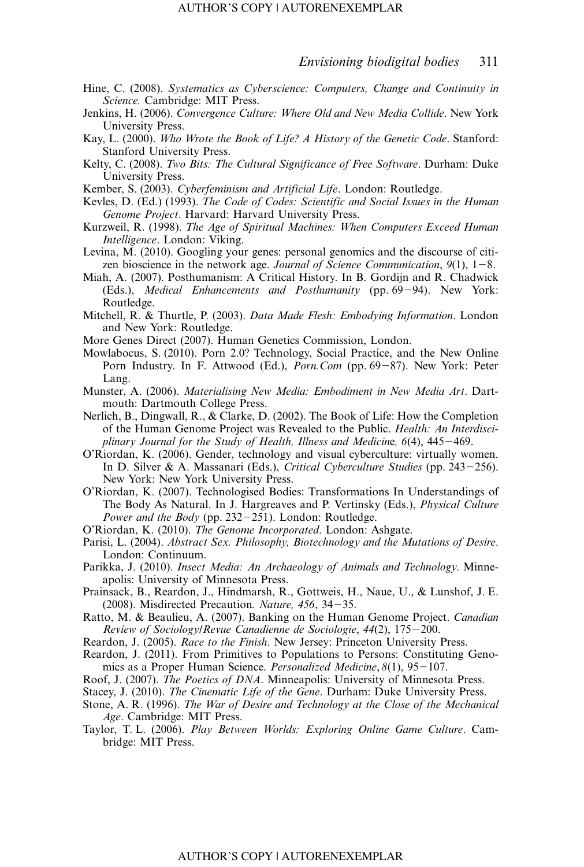- Hine, C. (2008). *Systematics as Cyberscience: Computers, Change and Continuity in Science.* Cambridge: MIT Press.
- Jenkins, H. (2006). *Convergence Culture: Where Old and New Media Collide*. New York University Press.
- Kay, L. (2000). *Who Wrote the Book of Life? A History of the Genetic Code*. Stanford: Stanford University Press.
- Kelty, C. (2008). *Two Bits: The Cultural Significance of Free Software*. Durham: Duke University Press.
- Kember, S. (2003). *Cyberfeminism and Artificial Life*. London: Routledge.
- Kevles, D. (Ed.) (1993). *The Code of Codes: Scientific and Social Issues in the Human Genome Project*. Harvard: Harvard University Press.
- Kurzweil, R. (1998). *The Age of Spiritual Machines: When Computers Exceed Human Intelligence*. London: Viking.
- Levina, M. (2010). Googling your genes: personal genomics and the discourse of citizen bioscience in the network age. *Journal of Science Communication*,  $9(1)$ ,  $1-8$ .
- Miah, A. (2007). Posthumanism: A Critical History. In B. Gordijn and R. Chadwick (Eds.), *Medical Enhancements and Posthumanity* (pp. 69-94). New York: Routledge.
- Mitchell, R. & Thurtle, P. (2003). *Data Made Flesh: Embodying Information*. London and New York: Routledge.
- More Genes Direct (2007). Human Genetics Commission, London.
- Mowlabocus, S. (2010). Porn 2.0? Technology, Social Practice, and the New Online Porn Industry. In F. Attwood (Ed.), *Porn.Com* (pp. 69–87). New York: Peter Lang.
- Munster, A. (2006). *Materialising New Media: Embodiment in New Media Art*. Dartmouth: Dartmouth College Press.
- Nerlich, B., Dingwall, R., & Clarke, D. (2002). The Book of Life: How the Completion of the Human Genome Project was Revealed to the Public. *Health: An Interdisciplinary Journal for the Study of Health, Illness and Medicine, 6(4), 445-469.*
- O'Riordan, K. (2006). Gender, technology and visual cyberculture: virtually women. In D. Silver & A. Massanari (Eds.), *Critical Cyberculture Studies* (pp. 243-256). New York: New York University Press.
- O'Riordan, K. (2007). Technologised Bodies: Transformations In Understandings of The Body As Natural. In J. Hargreaves and P. Vertinsky (Eds.), *Physical Culture Power and the Body* (pp. 232–251). London: Routledge.
- O'Riordan, K. (2010). *The Genome Incorporated*. London: Ashgate.
- Parisi, L. (2004). *Abstract Sex. Philosophy, Biotechnology and the Mutations of Desire*. London: Continuum.
- Parikka, J. (2010). *Insect Media: An Archaeology of Animals and Technology*. Minneapolis: University of Minnesota Press.
- Prainsack, B., Reardon, J., Hindmarsh, R., Gottweis, H., Naue, U., & Lunshof, J. E. (2008). Misdirected Precaution. Nature,  $456$ ,  $34-35$ .
- Ratto, M. & Beaulieu, A. (2007). Banking on the Human Genome Project. *Canadian Review of Sociology/Revue Canadienne de Sociologie, 44(2), 175-200.*
- Reardon, J. (2005). *Race to the Finish*. New Jersey: Princeton University Press.
- Reardon, J. (2011). From Primitives to Populations to Persons: Constituting Genomics as a Proper Human Science. *Personalized Medicine*,  $8(1)$ ,  $95-107$ .
- Roof, J. (2007). *The Poetics of DNA*. Minneapolis: University of Minnesota Press.
- Stacey, J. (2010). *The Cinematic Life of the Gene*. Durham: Duke University Press.
- Stone, A. R. (1996). *The War of Desire and Technology at the Close of the Mechanical Age*. Cambridge: MIT Press.
- Taylor, T. L. (2006). *Play Between Worlds: Exploring Online Game Culture*. Cambridge: MIT Press.